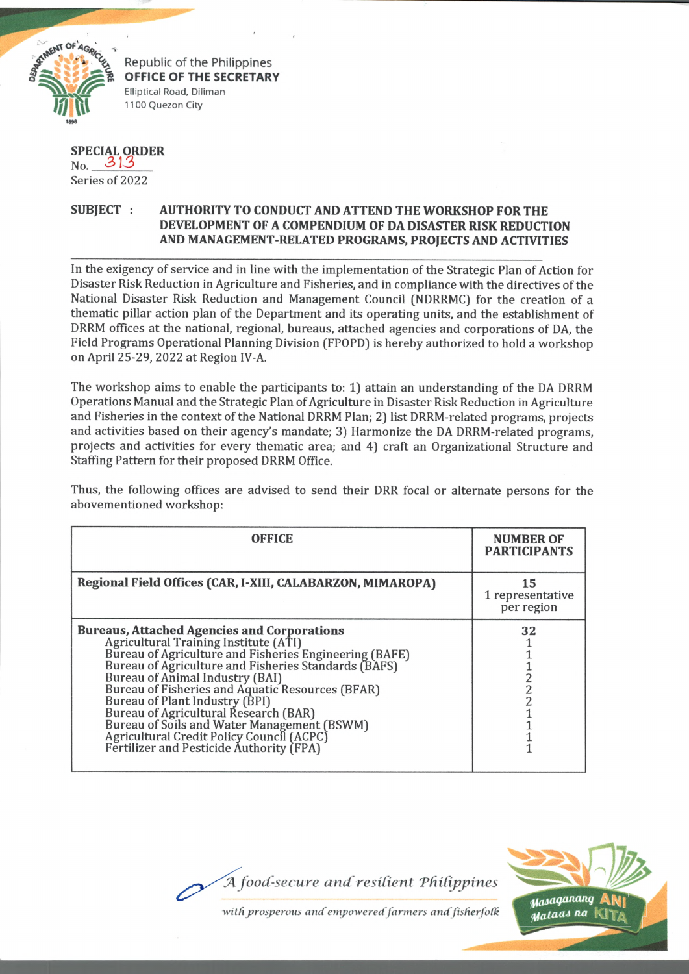

**OFFICE OF THE SECRETARY** Elliptical Road, Diliman 1100 Quezon City

## **SPECIAL ORDER** No. *&* 13

Series of 2022

## **SUBJECT : AUTHORITY TO CONDUCT AND ATTEND THE WORKSHOP FOR THE DEVELOPMENT OF A COMPENDIUM OF DA DISASTER RISK REDUCTION AND MANAGEMENT-RELATED PROGRAMS, PROJECTS AND ACTIVITIES**

In the exigency of service and in line with the implementation of the Strategic Plan of Action for Disaster Risk Reduction in Agriculture and Fisheries, and in compliance with the directives of the National Disaster Risk Reduction and Management Council (NDRRMC) for the creation of a thematic pillar action plan of the Department and its operating units, and the establishment of DRRM offices at the national, regional, bureaus, attached agencies and corporations of DA, the Field Programs Operational Planning Division (FPOPD) is hereby authorized to hold a workshop on April 25-29, 2022 at Region IV-A.

The workshop aims to enable the participants to: 1} attain an understanding of the DA DRRM Operations Manual and the Strategic Plan of Agriculture in Disaster Risk Reduction in Agriculture and Fisheries in the context of the National DRRM Plan; 2) list DRRM-related programs, projects and activities based on their agency's mandate; 3) Harmonize the DA DRRM-related programs, projects and activities for every thematic area; and 4) craft an Organizational Structure and Staffing Pattern for their proposed DRRM Office.

Thus, the following offices are advised to send their DRR focal or alternate persons for the abovementioned workshop:

| <b>OFFICE</b>                                                                                                                                                                                                                                                                                                                                                                                                                                                                                                           | <b>NUMBER OF</b><br><b>PARTICIPANTS</b> |
|-------------------------------------------------------------------------------------------------------------------------------------------------------------------------------------------------------------------------------------------------------------------------------------------------------------------------------------------------------------------------------------------------------------------------------------------------------------------------------------------------------------------------|-----------------------------------------|
| Regional Field Offices (CAR, I-XIII, CALABARZON, MIMAROPA)                                                                                                                                                                                                                                                                                                                                                                                                                                                              | 15<br>1 representative<br>per region    |
| <b>Bureaus, Attached Agencies and Corporations</b><br>Agricultural Training Institute (ATI)<br>Bureau of Agriculture and Fisheries Engineering (BAFE)<br>Bureau of Agriculture and Fisheries Standards (BAFS)<br>Bureau of Animal Industry (BAI)<br>Bureau of Fisheries and Aquatic Resources (BFAR)<br>Bureau of Plant Industry (BPI)<br>Bureau of Agricultural Research (BAR)<br>Bureau of Soils and Water Management (BSWM)<br>Agricultural Credit Policy Council (ACPC)<br>Fertilizer and Pesticide Authority (FPA) | 32<br>2<br>2<br>2                       |